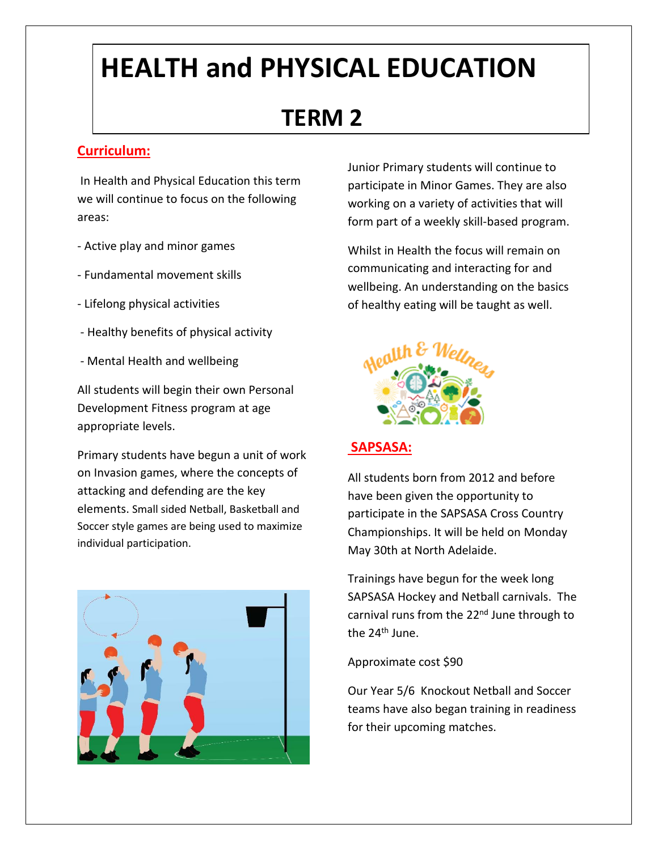# **HEALTH and PHYSICAL EDUCATION**

## **TERM 2**

#### **Curriculum:**

In Health and Physical Education this term we will continue to focus on the following areas:

- Active play and minor games
- Fundamental movement skills
- Lifelong physical activities
- Healthy benefits of physical activity
- Mental Health and wellbeing

All students will begin their own Personal Development Fitness program at age appropriate levels.

Primary students have begun a unit of work on Invasion games, where the concepts of attacking and defending are the key elements. Small sided Netball, Basketball and Soccer style games are being used to maximize individual participation.



Junior Primary students will continue to participate in Minor Games. They are also working on a variety of activities that will form part of a weekly skill-based program.

Whilst in Health the focus will remain on communicating and interacting for and wellbeing. An understanding on the basics of healthy eating will be taught as well.



#### **SAPSASA:**

All students born from 2012 and before have been given the opportunity to participate in the SAPSASA Cross Country Championships. It will be held on Monday May 30th at North Adelaide.

Trainings have begun for the week long SAPSASA Hockey and Netball carnivals. The carnival runs from the 22<sup>nd</sup> June through to the 24<sup>th</sup> June.

Approximate cost \$90

Our Year 5/6 Knockout Netball and Soccer teams have also began training in readiness for their upcoming matches.